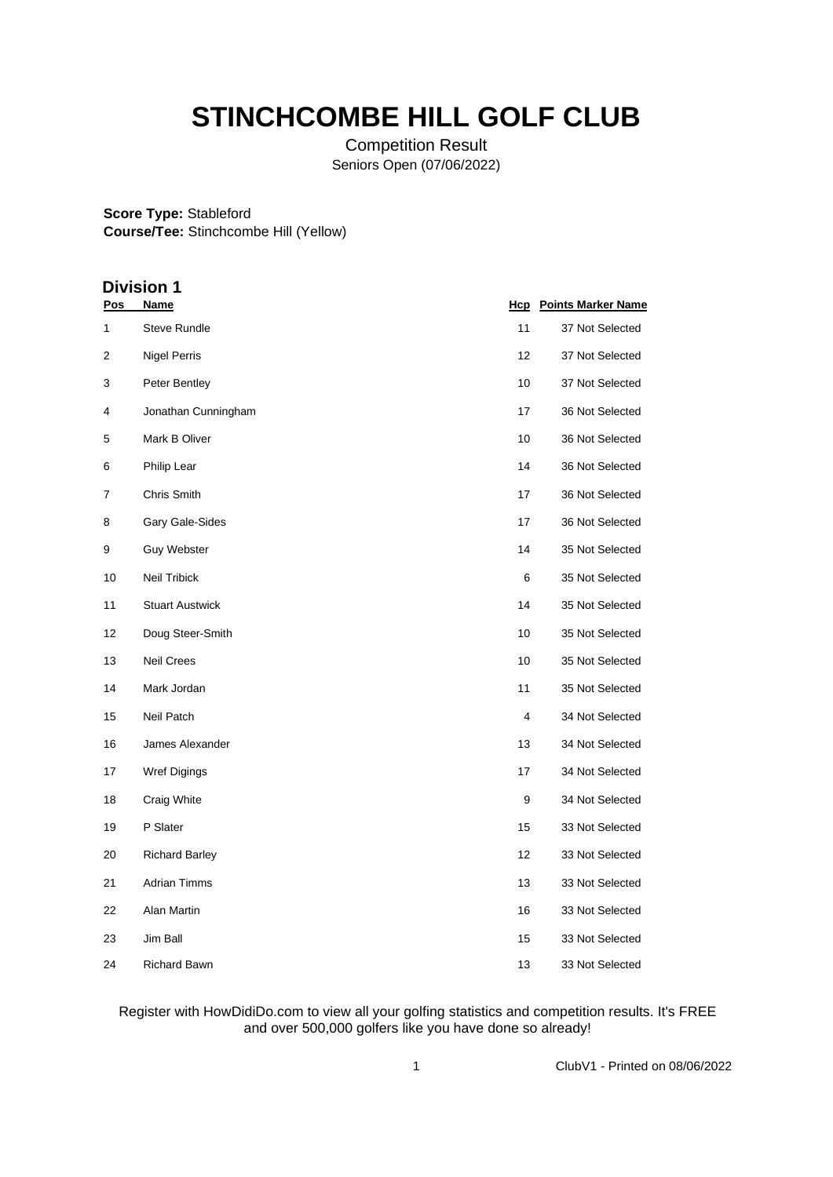# **STINCHCOMBE HILL GOLF CLUB**

Competition Result Seniors Open (07/06/2022)

#### **Score Type:** Stableford **Course/Tee:** Stinchcombe Hill (Yellow)

## **Division 1**

| Pos | Name                   | <u>Hcp</u> | <b>Points Marker Name</b> |
|-----|------------------------|------------|---------------------------|
| 1   | <b>Steve Rundle</b>    | 11         | 37 Not Selected           |
| 2   | <b>Nigel Perris</b>    | 12         | 37 Not Selected           |
| 3   | Peter Bentley          | 10         | 37 Not Selected           |
| 4   | Jonathan Cunningham    | 17         | 36 Not Selected           |
| 5   | Mark B Oliver          | 10         | 36 Not Selected           |
| 6   | Philip Lear            | 14         | 36 Not Selected           |
| 7   | Chris Smith            | 17         | 36 Not Selected           |
| 8   | Gary Gale-Sides        | 17         | 36 Not Selected           |
| 9   | <b>Guy Webster</b>     | 14         | 35 Not Selected           |
| 10  | Neil Tribick           | 6          | 35 Not Selected           |
| 11  | <b>Stuart Austwick</b> | 14         | 35 Not Selected           |
| 12  | Doug Steer-Smith       | 10         | 35 Not Selected           |
| 13  | <b>Neil Crees</b>      | 10         | 35 Not Selected           |
| 14  | Mark Jordan            | 11         | 35 Not Selected           |
| 15  | Neil Patch             | 4          | 34 Not Selected           |
| 16  | James Alexander        | 13         | 34 Not Selected           |
| 17  | Wref Digings           | 17         | 34 Not Selected           |
| 18  | Craig White            | 9          | 34 Not Selected           |
| 19  | P Slater               | 15         | 33 Not Selected           |
| 20  | <b>Richard Barley</b>  | 12         | 33 Not Selected           |
| 21  | <b>Adrian Timms</b>    | 13         | 33 Not Selected           |
| 22  | Alan Martin            | 16         | 33 Not Selected           |
| 23  | Jim Ball               | 15         | 33 Not Selected           |
| 24  | <b>Richard Bawn</b>    | 13         | 33 Not Selected           |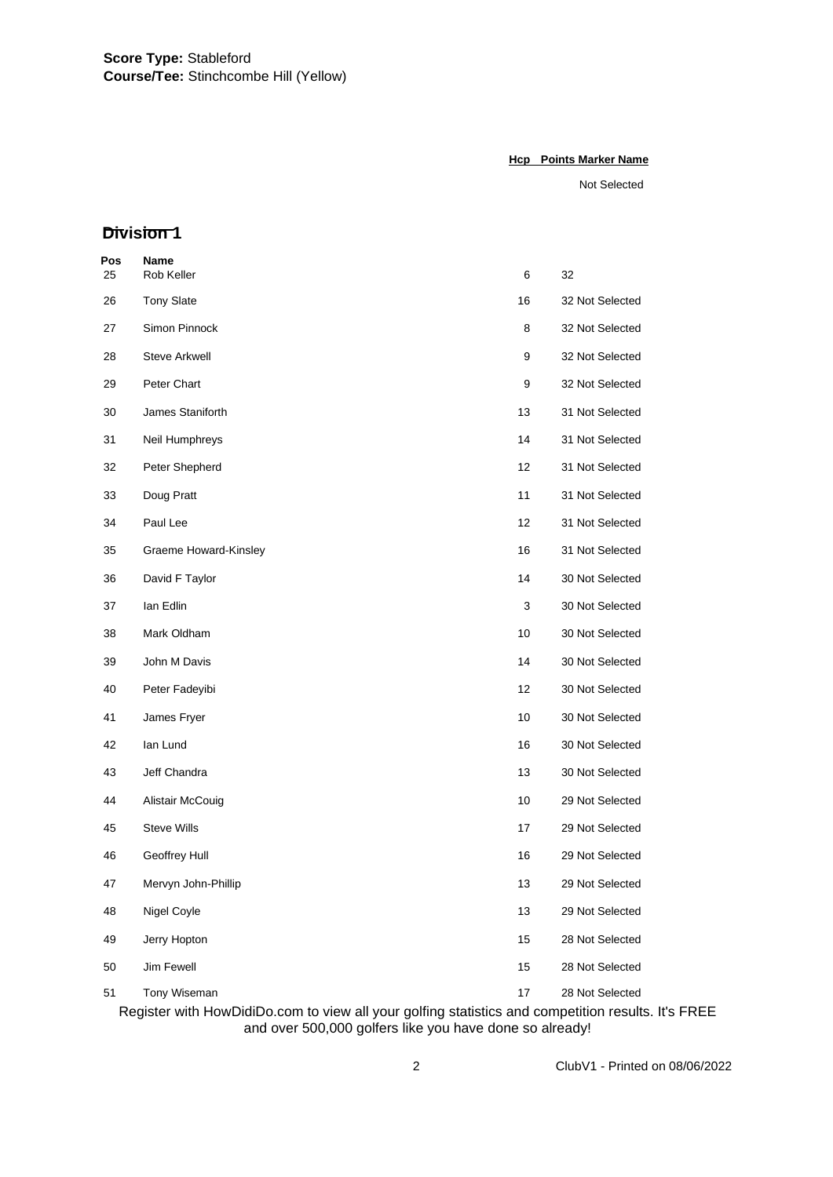#### **Hcp Points Marker Name**

Not Selected

## **Division 1**

| Pos<br>25 | <b>Name</b><br>Rob Keller | 6  | 32              |
|-----------|---------------------------|----|-----------------|
| 26        | <b>Tony Slate</b>         | 16 | 32 Not Selected |
| 27        | Simon Pinnock             | 8  | 32 Not Selected |
| 28        | <b>Steve Arkwell</b>      | 9  | 32 Not Selected |
| 29        | Peter Chart               | 9  | 32 Not Selected |
| 30        | James Staniforth          | 13 | 31 Not Selected |
| 31        | Neil Humphreys            | 14 | 31 Not Selected |
| 32        | Peter Shepherd            | 12 | 31 Not Selected |
| 33        | Doug Pratt                | 11 | 31 Not Selected |
| 34        | Paul Lee                  | 12 | 31 Not Selected |
| 35        | Graeme Howard-Kinsley     | 16 | 31 Not Selected |
| 36        | David F Taylor            | 14 | 30 Not Selected |
| 37        | lan Edlin                 | 3  | 30 Not Selected |
| 38        | Mark Oldham               | 10 | 30 Not Selected |
| 39        | John M Davis              | 14 | 30 Not Selected |
| 40        | Peter Fadeyibi            | 12 | 30 Not Selected |
| 41        | James Fryer               | 10 | 30 Not Selected |
| 42        | lan Lund                  | 16 | 30 Not Selected |
| 43        | Jeff Chandra              | 13 | 30 Not Selected |
| 44        | Alistair McCouig          | 10 | 29 Not Selected |
| 45        | Steve Wills               | 17 | 29 Not Selected |
| 46        | Geoffrey Hull             | 16 | 29 Not Selected |
| 47        | Mervyn John-Phillip       | 13 | 29 Not Selected |
| 48        | Nigel Coyle               | 13 | 29 Not Selected |
| 49        | Jerry Hopton              | 15 | 28 Not Selected |
| 50        | Jim Fewell                | 15 | 28 Not Selected |
| 51        | Tony Wiseman              | 17 | 28 Not Selected |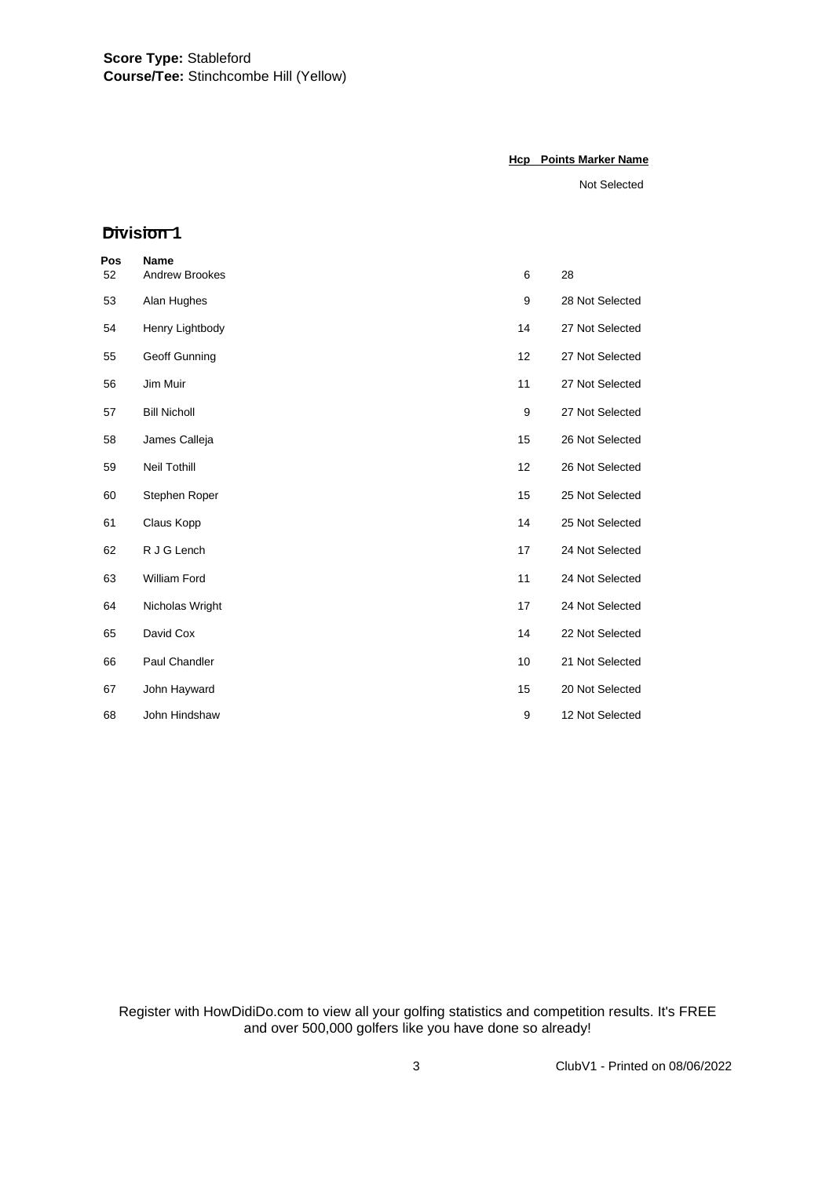#### **Hcp Points Marker Name**

Not Selected

### **Division 1**

| Pos | <b>Name</b>           |    |                 |
|-----|-----------------------|----|-----------------|
| 52  | <b>Andrew Brookes</b> | 6  | 28              |
| 53  | Alan Hughes           | 9  | 28 Not Selected |
| 54  | Henry Lightbody       | 14 | 27 Not Selected |
| 55  | Geoff Gunning         | 12 | 27 Not Selected |
| 56  | Jim Muir              | 11 | 27 Not Selected |
| 57  | <b>Bill Nicholl</b>   | 9  | 27 Not Selected |
| 58  | James Calleja         | 15 | 26 Not Selected |
| 59  | Neil Tothill          | 12 | 26 Not Selected |
| 60  | Stephen Roper         | 15 | 25 Not Selected |
| 61  | Claus Kopp            | 14 | 25 Not Selected |
| 62  | R J G Lench           | 17 | 24 Not Selected |
| 63  | William Ford          | 11 | 24 Not Selected |
| 64  | Nicholas Wright       | 17 | 24 Not Selected |
| 65  | David Cox             | 14 | 22 Not Selected |
| 66  | Paul Chandler         | 10 | 21 Not Selected |
| 67  | John Hayward          | 15 | 20 Not Selected |
| 68  | John Hindshaw         | 9  | 12 Not Selected |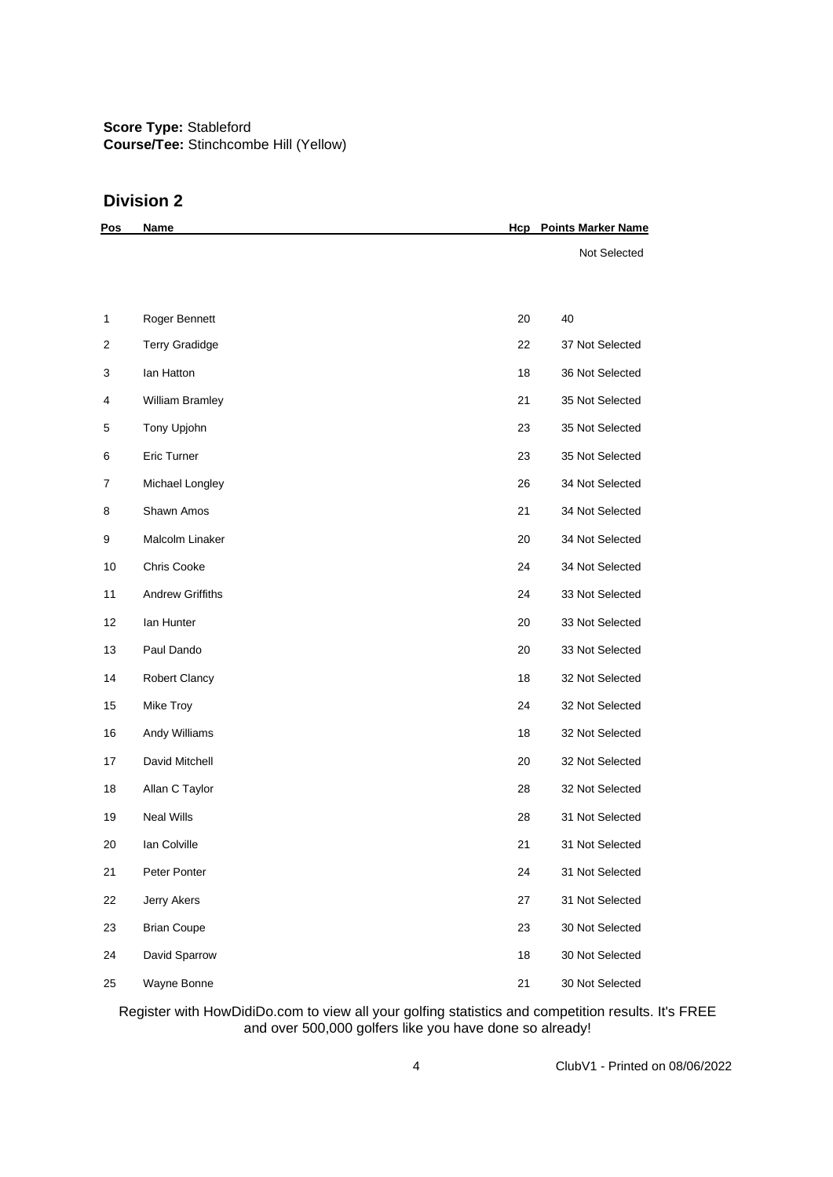## **Division 2**

| <u>Pos</u>              | <b>Name</b>             | Hcp | <b>Points Marker Name</b> |
|-------------------------|-------------------------|-----|---------------------------|
|                         |                         |     | Not Selected              |
|                         |                         |     |                           |
| 1                       | Roger Bennett           | 20  | 40                        |
| $\overline{\mathbf{c}}$ | <b>Terry Gradidge</b>   | 22  | 37 Not Selected           |
| 3                       | lan Hatton              | 18  | 36 Not Selected           |
| 4                       | William Bramley         | 21  | 35 Not Selected           |
| 5                       | Tony Upjohn             | 23  | 35 Not Selected           |
| 6                       | Eric Turner             | 23  | 35 Not Selected           |
| 7                       | Michael Longley         | 26  | 34 Not Selected           |
| 8                       | Shawn Amos              | 21  | 34 Not Selected           |
| 9                       | Malcolm Linaker         | 20  | 34 Not Selected           |
| 10                      | Chris Cooke             | 24  | 34 Not Selected           |
| 11                      | <b>Andrew Griffiths</b> | 24  | 33 Not Selected           |
| 12                      | lan Hunter              | 20  | 33 Not Selected           |
| 13                      | Paul Dando              | 20  | 33 Not Selected           |
| 14                      | <b>Robert Clancy</b>    | 18  | 32 Not Selected           |
| 15                      | Mike Troy               | 24  | 32 Not Selected           |
| 16                      | Andy Williams           | 18  | 32 Not Selected           |
| 17                      | David Mitchell          | 20  | 32 Not Selected           |
| 18                      | Allan C Taylor          | 28  | 32 Not Selected           |
| 19                      | <b>Neal Wills</b>       | 28  | 31 Not Selected           |
| 20                      | Ian Colville            | 21  | 31 Not Selected           |
| 21                      | Peter Ponter            | 24  | 31 Not Selected           |
| 22                      | Jerry Akers             | 27  | 31 Not Selected           |
| 23                      | <b>Brian Coupe</b>      | 23  | 30 Not Selected           |
| 24                      | David Sparrow           | 18  | 30 Not Selected           |
| 25                      | Wayne Bonne             | 21  | 30 Not Selected           |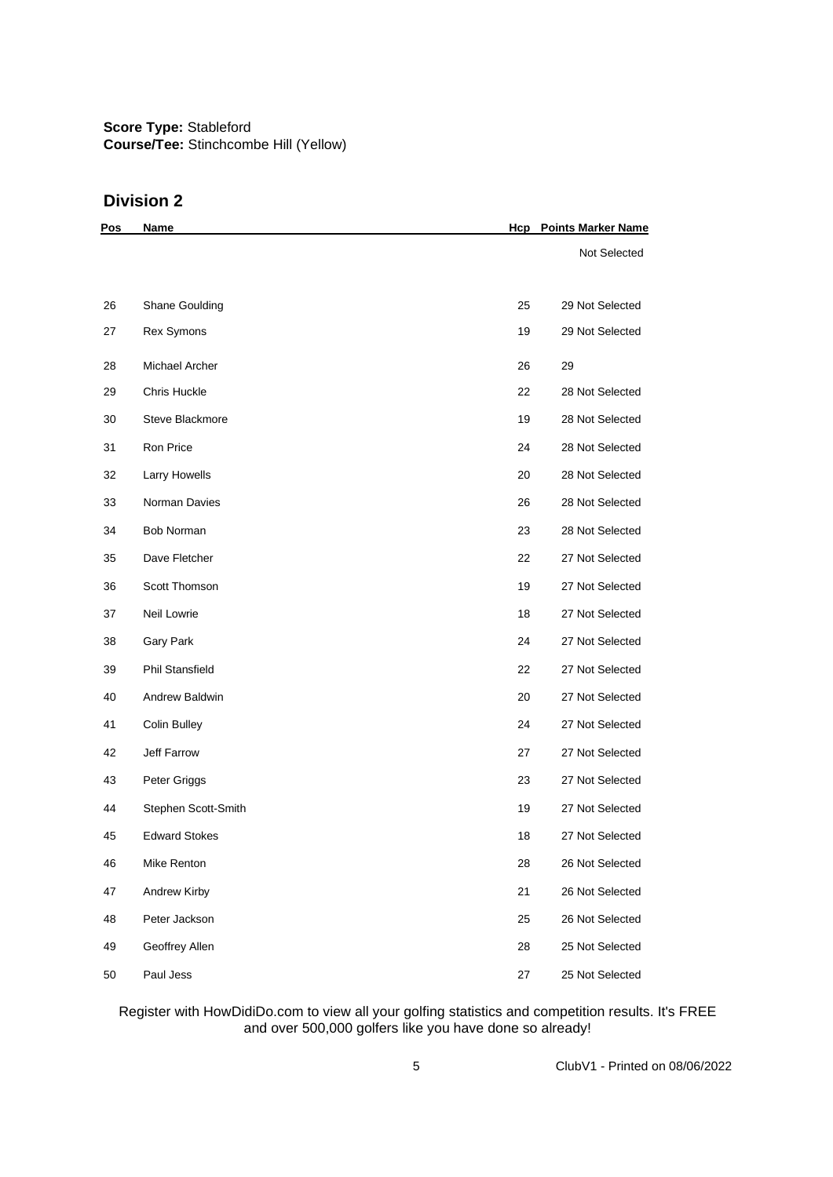## **Division 2**

| <u>Pos</u> | Name                   | Hcp | <b>Points Marker Name</b> |
|------------|------------------------|-----|---------------------------|
|            |                        |     | Not Selected              |
|            |                        |     |                           |
| 26         | Shane Goulding         | 25  | 29 Not Selected           |
| 27         | Rex Symons             | 19  | 29 Not Selected           |
| 28         | Michael Archer         | 26  | 29                        |
| 29         | <b>Chris Huckle</b>    | 22  | 28 Not Selected           |
| 30         | Steve Blackmore        | 19  | 28 Not Selected           |
| 31         | Ron Price              | 24  | 28 Not Selected           |
| 32         | Larry Howells          | 20  | 28 Not Selected           |
| 33         | Norman Davies          | 26  | 28 Not Selected           |
| 34         | <b>Bob Norman</b>      | 23  | 28 Not Selected           |
| 35         | Dave Fletcher          | 22  | 27 Not Selected           |
| 36         | Scott Thomson          | 19  | 27 Not Selected           |
| 37         | Neil Lowrie            | 18  | 27 Not Selected           |
| 38         | Gary Park              | 24  | 27 Not Selected           |
| 39         | <b>Phil Stansfield</b> | 22  | 27 Not Selected           |
| 40         | Andrew Baldwin         | 20  | 27 Not Selected           |
| 41         | Colin Bulley           | 24  | 27 Not Selected           |
| 42         | Jeff Farrow            | 27  | 27 Not Selected           |
| 43         | Peter Griggs           | 23  | 27 Not Selected           |
| 44         | Stephen Scott-Smith    | 19  | 27 Not Selected           |
| 45         | <b>Edward Stokes</b>   | 18  | 27 Not Selected           |
| 46         | Mike Renton            | 28  | 26 Not Selected           |
| 47         | Andrew Kirby           | 21  | 26 Not Selected           |
| 48         | Peter Jackson          | 25  | 26 Not Selected           |
| 49         | Geoffrey Allen         | 28  | 25 Not Selected           |
| 50         | Paul Jess              | 27  | 25 Not Selected           |